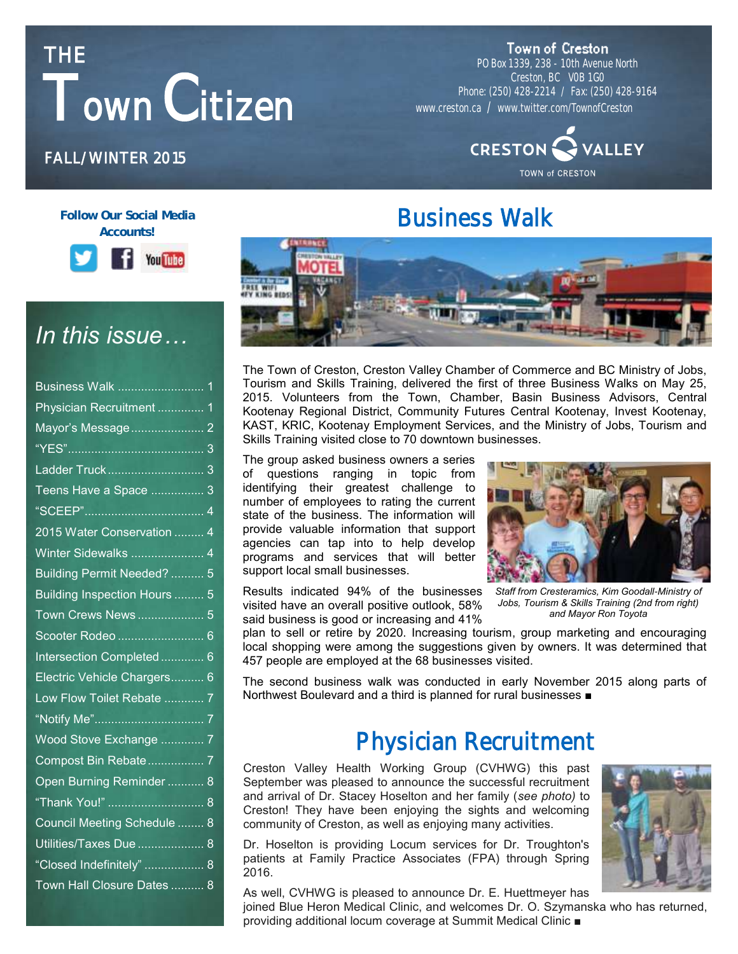# **THE Town Citizen**

Town of Creston

PO Box 1339, 238 - 10th Avenue North Creston, BC V0B 1G0 Phone: (250) 428-2214 / Fax: (250) 428-9164 www.creston.ca / www.twitter.com/TownofCreston



### **FALL/WINTER 2015**

#### **Follow Our Social Media Accounts!**



### *In this issue…*

| Physician Recruitment 1      |
|------------------------------|
|                              |
|                              |
|                              |
| Teens Have a Space  3        |
|                              |
| 2015 Water Conservation  4   |
| Winter Sidewalks  4          |
| Building Permit Needed?  5   |
| Building Inspection Hours  5 |
| Town Crews News 5            |
| Scooter Rodeo  6             |
| Intersection Completed 6     |
| Electric Vehicle Chargers 6  |
| Low Flow Toilet Rebate  7    |
|                              |
| Wood Stove Exchange  7       |
| Compost Bin Rebate 7         |
| Open Burning Reminder  8     |
| "Thank You!"  8              |
| Council Meeting Schedule  8  |
| Utilities/Taxes Due  8       |
| "Closed Indefinitely"  8     |
| Town Hall Closure Dates  8   |

**Business Walk** 

The Town of Creston, Creston Valley Chamber of Commerce and BC Ministry of Jobs, Tourism and Skills Training, delivered the first of three Business Walks on May 25, 2015. Volunteers from the Town, Chamber, Basin Business Advisors, Central Kootenay Regional District, Community Futures Central Kootenay, Invest Kootenay, KAST, KRIC, Kootenay Employment Services, and the Ministry of Jobs, Tourism and Skills Training visited close to 70 downtown businesses.

The group asked business owners a series of questions ranging in topic from identifying their greatest challenge to number of employees to rating the current state of the business. The information will provide valuable information that support agencies can tap into to help develop programs and services that will better support local small businesses.

Results indicated 94% of the businesses visited have an overall positive outlook, 58% said business is good or increasing and 41%



*Staff from Cresteramics, Kim Goodall-Ministry of Jobs, Tourism & Skills Training (2nd from right) and Mayor Ron Toyota*

plan to sell or retire by 2020. Increasing tourism, group marketing and encouraging local shopping were among the suggestions given by owners. It was determined that 457 people are employed at the 68 businesses visited.

The second business walk was conducted in early November 2015 along parts of Northwest Boulevard and a third is planned for rural businesses ■

### **Physician Recruitment**

**BEFORE AFTER** and arrival of Dr. Stacey Hoselton and her family (*see photo)* to Creston Valley Health Working Group (CVHWG) this past September was pleased to announce the successful recruitment Creston! They have been enjoying the sights and welcoming community of Creston, as well as enjoying many activities.

Dr. Hoselton is providing Locum services for Dr. Troughton's patients at Family Practice Associates (FPA) through Spring 2016.

As well, CVHWG is pleased to announce Dr. E. Huettmeyer has

joined Blue Heron Medical Clinic, and welcomes Dr. O. Szymanska who has returned, providing additional locum coverage at Summit Medical Clinic ■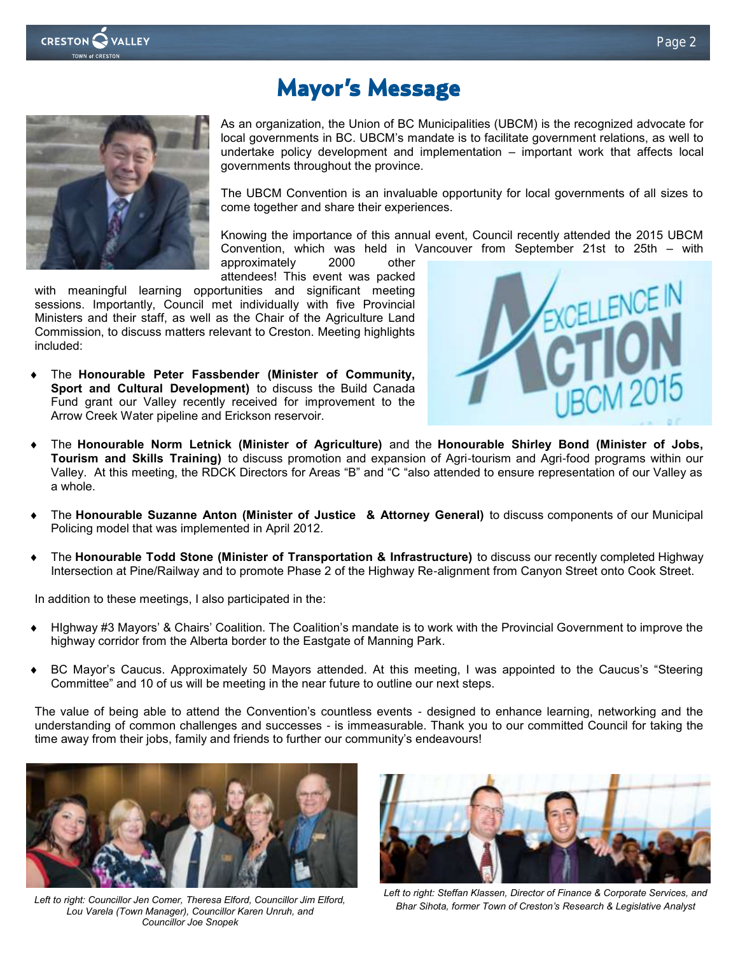

### **Mayor's Message**



As an organization, the Union of BC Municipalities (UBCM) is the recognized advocate for local governments in BC. UBCM's mandate is to facilitate government relations, as well to undertake policy development and implementation – important work that affects local governments throughout the province.

The UBCM Convention is an invaluable opportunity for local governments of all sizes to come together and share their experiences.

Knowing the importance of this annual event, Council recently attended the 2015 UBCM Convention, which was held in Vancouver from September 21st to 25th – with

approximately 2000 other attendees! This event was packed

with meaningful learning opportunities and significant meeting sessions. Importantly, Council met individually with five Provincial Ministers and their staff, as well as the Chair of the Agriculture Land Commission, to discuss matters relevant to Creston. Meeting highlights included:

 The **Honourable Peter Fassbender (Minister of Community, Sport and Cultural Development)** to discuss the Build Canada Fund grant our Valley recently received for improvement to the Arrow Creek Water pipeline and Erickson reservoir.



- The **Honourable Norm Letnick (Minister of Agriculture)** and the **Honourable Shirley Bond (Minister of Jobs, Tourism and Skills Training)** to discuss promotion and expansion of Agri-tourism and Agri-food programs within our Valley. At this meeting, the RDCK Directors for Areas "B" and "C "also attended to ensure representation of our Valley as a whole.
- The **Honourable Suzanne Anton (Minister of Justice & Attorney General)** to discuss components of our Municipal Policing model that was implemented in April 2012.
- The **Honourable Todd Stone (Minister of Transportation & Infrastructure)** to discuss our recently completed Highway Intersection at Pine/Railway and to promote Phase 2 of the Highway Re-alignment from Canyon Street onto Cook Street.

In addition to these meetings, I also participated in the:

- HIghway #3 Mayors' & Chairs' Coalition. The Coalition's mandate is to work with the Provincial Government to improve the highway corridor from the Alberta border to the Eastgate of Manning Park.
- BC Mayor's Caucus. Approximately 50 Mayors attended. At this meeting, I was appointed to the Caucus's "Steering Committee" and 10 of us will be meeting in the near future to outline our next steps.

The value of being able to attend the Convention's countless events - designed to enhance learning, networking and the understanding of common challenges and successes - is immeasurable. Thank you to our committed Council for taking the time away from their jobs, family and friends to further our community's endeavours!



*Left to right: Councillor Jen Comer, Theresa Elford, Councillor Jim Elford, Lou Varela (Town Manager), Councillor Karen Unruh, and Councillor Joe Snopek*



*Left to right: Steffan Klassen, Director of Finance & Corporate Services, and Bhar Sihota, former Town of Creston's Research & Legislative Analyst*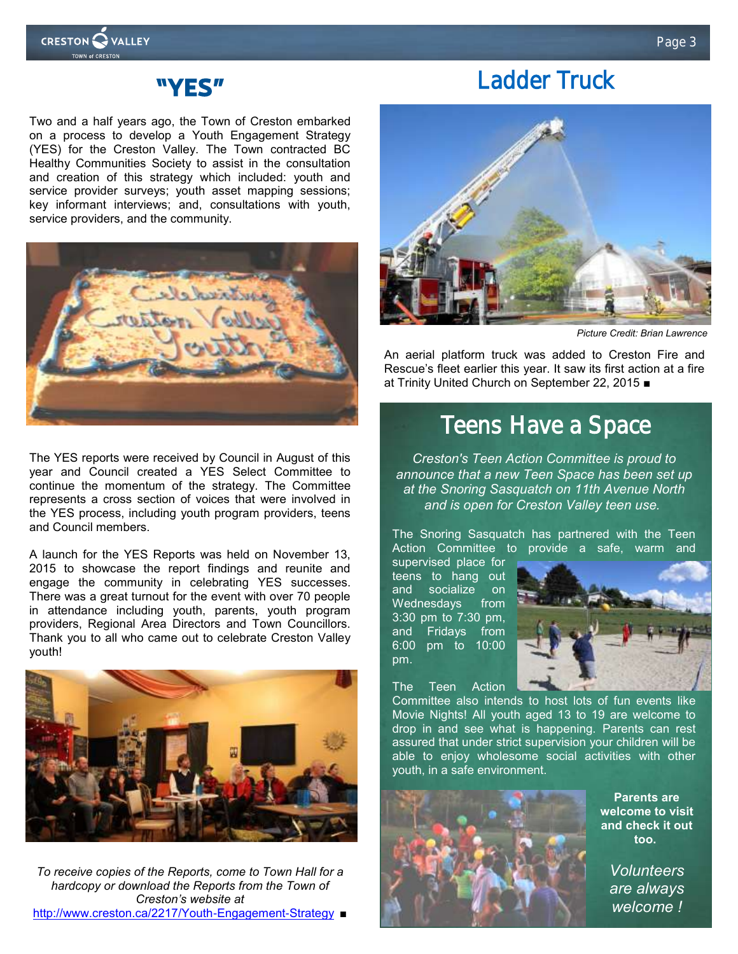

### **Ladder Truck**



Two and a half years ago, the Town of Creston embarked on a process to develop a Youth Engagement Strategy (YES) for the Creston Valley. The Town contracted BC Healthy Communities Society to assist in the consultation and creation of this strategy which included: youth and service provider surveys; youth asset mapping sessions; key informant interviews; and, consultations with youth, service providers, and the community.



The YES reports were received by Council in August of this year and Council created a YES Select Committee to continue the momentum of the strategy. The Committee represents a cross section of voices that were involved in the YES process, including youth program providers, teens and Council members.

A launch for the YES Reports was held on November 13, 2015 to showcase the report findings and reunite and engage the community in celebrating YES successes. There was a great turnout for the event with over 70 people in attendance including youth, parents, youth program providers, Regional Area Directors and Town Councillors. Thank you to all who came out to celebrate Creston Valley youth!



*To receive copies of the Reports, come to Town Hall for a hardcopy or download the Reports from the Town of Creston's website at*  <http://www.creston.ca/2217/Youth-Engagement-Strategy> ■



*Picture Credit: Brian Lawrence*

An aerial platform truck was added to Creston Fire and Rescue's fleet earlier this year. It saw its first action at a fire at Trinity United Church on September 22, 2015 ■

### **Teens Have a Space**

*Creston's Teen Action Committee is proud to announce that a new Teen Space has been set up at the Snoring Sasquatch on 11th Avenue North and is open for Creston Valley teen use.*

The Snoring Sasquatch has partnered with the Teen Action Committee to provide a safe, warm and

supervised place for teens to hang out and socialize Wednesdays from 3:30 pm to 7:30 pm, and Fridays from 6:00 pm to 10:00 pm.

The Teen Action



Committee also intends to host lots of fun events like Movie Nights! All youth aged 13 to 19 are welcome to drop in and see what is happening. Parents can rest assured that under strict supervision your children will be able to enjoy wholesome social activities with other youth, in a safe environment.



**Parents are welcome to visit and check it out too.**

> *Volunteers are always welcome !*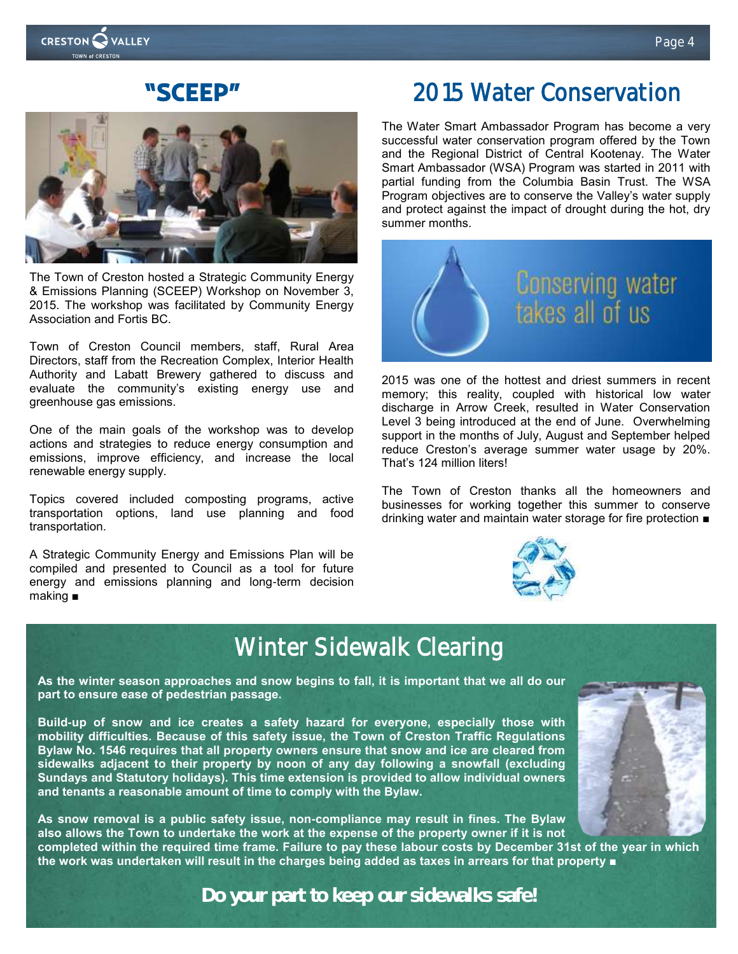### **"SCEEP"**



The Town of Creston hosted a Strategic Community Energy & Emissions Planning (SCEEP) Workshop on November 3, 2015. The workshop was facilitated by Community Energy Association and Fortis BC.

Town of Creston Council members, staff, Rural Area Directors, staff from the Recreation Complex, Interior Health Authority and Labatt Brewery gathered to discuss and evaluate the community's existing energy use and greenhouse gas emissions.

One of the main goals of the workshop was to develop actions and strategies to reduce energy consumption and emissions, improve efficiency, and increase the local renewable energy supply.

Topics covered included composting programs, active transportation options, land use planning and food transportation.

A Strategic Community Energy and Emissions Plan will be compiled and presented to Council as a tool for future energy and emissions planning and long-term decision making ■

### **2015 Water Conservation**

The Water Smart Ambassador Program has become a very successful water conservation program offered by the Town and the Regional District of Central Kootenay. The Water Smart Ambassador (WSA) Program was started in 2011 with partial funding from the Columbia Basin Trust. The WSA Program objectives are to conserve the Valley's water supply and protect against the impact of drought during the hot, dry summer months.



2015 was one of the hottest and driest summers in recent memory; this reality, coupled with historical low water discharge in Arrow Creek, resulted in Water Conservation Level 3 being introduced at the end of June. Overwhelming support in the months of July, August and September helped reduce Creston's average summer water usage by 20%. That's 124 million liters!

The Town of Creston thanks all the homeowners and businesses for working together this summer to conserve drinking water and maintain water storage for fire protection ■



### **Winter Sidewalk Clearing**

**As the winter season approaches and snow begins to fall, it is important that we all do our part to ensure ease of pedestrian passage.** 

**Build-up of snow and ice creates a safety hazard for everyone, especially those with mobility difficulties. Because of this safety issue, the Town of Creston Traffic Regulations Bylaw No. 1546 requires that all property owners ensure that snow and ice are cleared from sidewalks adjacent to their property by noon of any day following a snowfall (excluding Sundays and Statutory holidays). This time extension is provided to allow individual owners and tenants a reasonable amount of time to comply with the Bylaw.** 

**As snow removal is a public safety issue, non-compliance may result in fines. The Bylaw also allows the Town to undertake the work at the expense of the property owner if it is not** 

**completed within the required time frame. Failure to pay these labour costs by December 31st of the year in which the work was undertaken will result in the charges being added as taxes in arrears for that property ■**

*Do your part to keep our sidewalks safe!*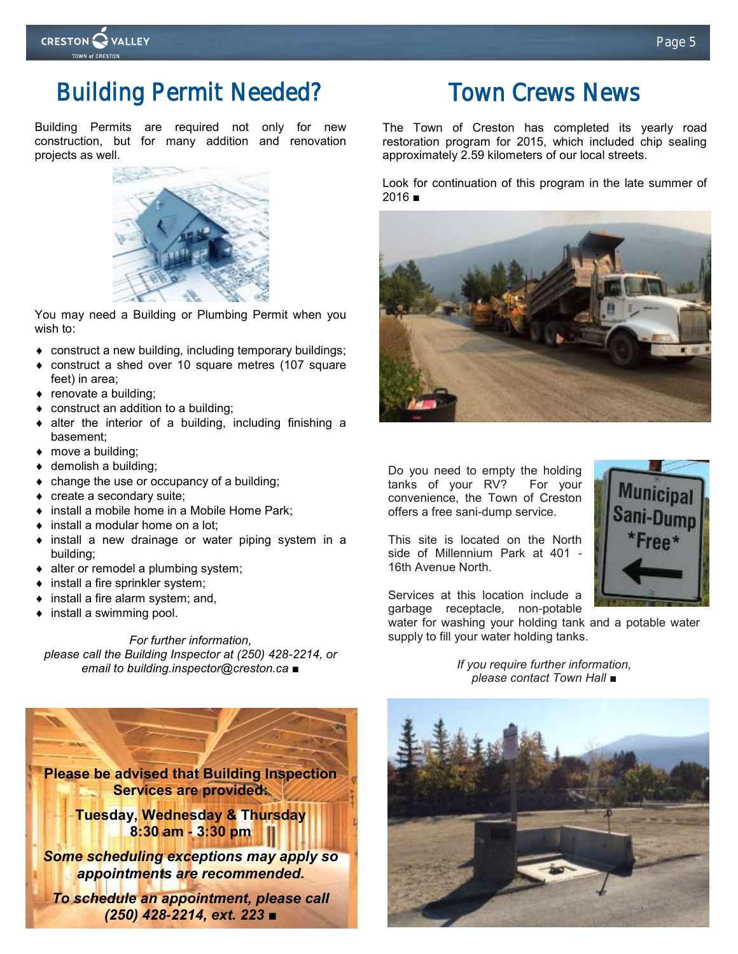

### **Building Permit Needed?**

Building Permits are required not only for new construction, but for many addition and renovation projects as well.



You may need a Building or Plumbing Permit when you wish to:

- construct a new building, including temporary buildings;
- construct a shed over 10 square metres (107 square feet) in area;
- renovate a building;
- ◆ construct an addition to a building;
- alter the interior of a building, including finishing a basement;
- ◆ move a building;
- ◆ demolish a building;
- change the use or occupancy of a building;
- create a secondary suite;
- install a mobile home in a Mobile Home Park;
- ◆ install a modular home on a lot:
- install a new drainage or water piping system in a building;
- $\bullet$  alter or remodel a plumbing system;
- install a fire sprinkler system;
- $\bullet$  install a fire alarm system; and,
- install a swimming pool.

*For further information, please call the Building Inspector at (250) 428-2214, or email to building.inspector@creston.ca ■*



### **Town Crews News**

The Town of Creston has completed its yearly road restoration program for 2015, which included chip sealing approximately 2.59 kilometers of our local streets.

Look for continuation of this program in the late summer of 2016 ■



Do you need to empty the holding tanks of your RV? For your convenience, the Town of Creston offers a free sani-dump service.

This site is located on the North side of Millennium Park at 401 - 16th Avenue North.

Services at this location include a garbage receptacle, non-potable

water for washing your holding tank and a potable water supply to fill your water holding tanks.

> *If you require further information, please contact Town Hall* ■

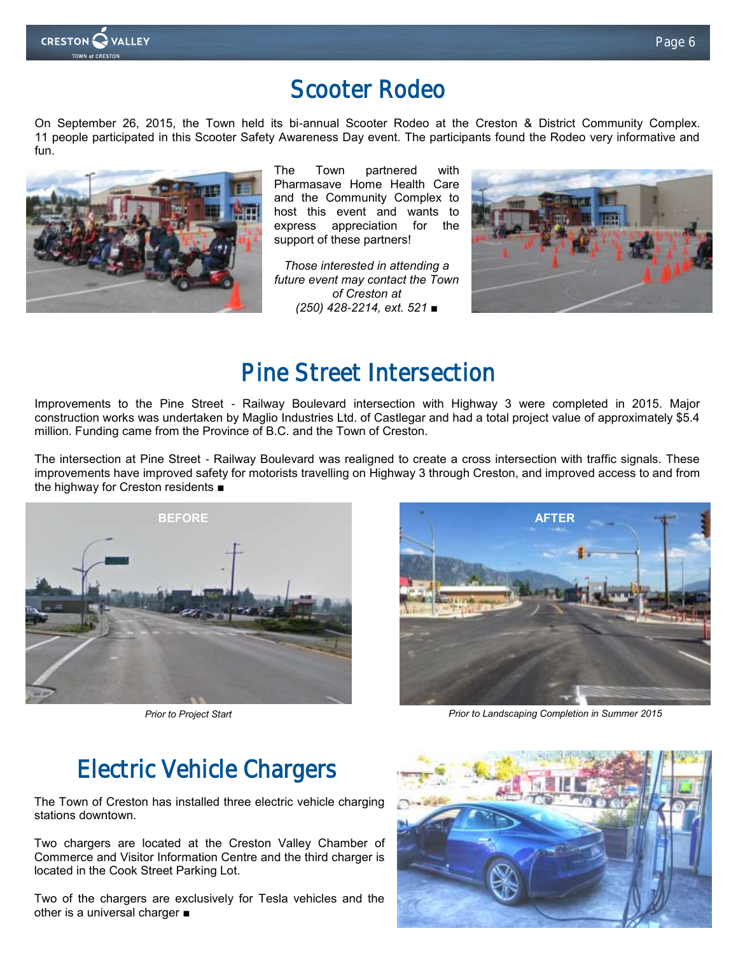

#### **Page 6**

### **Scooter Rodeo**

On September 26, 2015, the Town held its bi-annual Scooter Rodeo at the Creston & District Community Complex. 11 people participated in this Scooter Safety Awareness Day event. The participants found the Rodeo very informative and fun.



The Town partnered with Pharmasave Home Health Care and the Community Complex to host this event and wants to express appreciation for the support of these partners!

*Those interested in attending a future event may contact the Town of Creston at (250) 428-2214, ext. 521 ■*



### **Pine Street Intersection**

Improvements to the Pine Street - Railway Boulevard intersection with Highway 3 were completed in 2015. Major construction works was undertaken by Maglio Industries Ltd. of Castlegar and had a total project value of approximately \$5.4 million. Funding came from the Province of B.C. and the Town of Creston.

The intersection at Pine Street - Railway Boulevard was realigned to create a cross intersection with traffic signals. These improvements have improved safety for motorists travelling on Highway 3 through Creston, and improved access to and from the highway for Creston residents ■



*Prior to Project Start*



*Prior to Landscaping Completion in Summer 2015*

### **Electric Vehicle Chargers**

The Town of Creston has installed three electric vehicle charging stations downtown.

Two chargers are located at the Creston Valley Chamber of Commerce and Visitor Information Centre and the third charger is located in the Cook Street Parking Lot.

Two of the chargers are exclusively for Tesla vehicles and the other is a universal charger ■

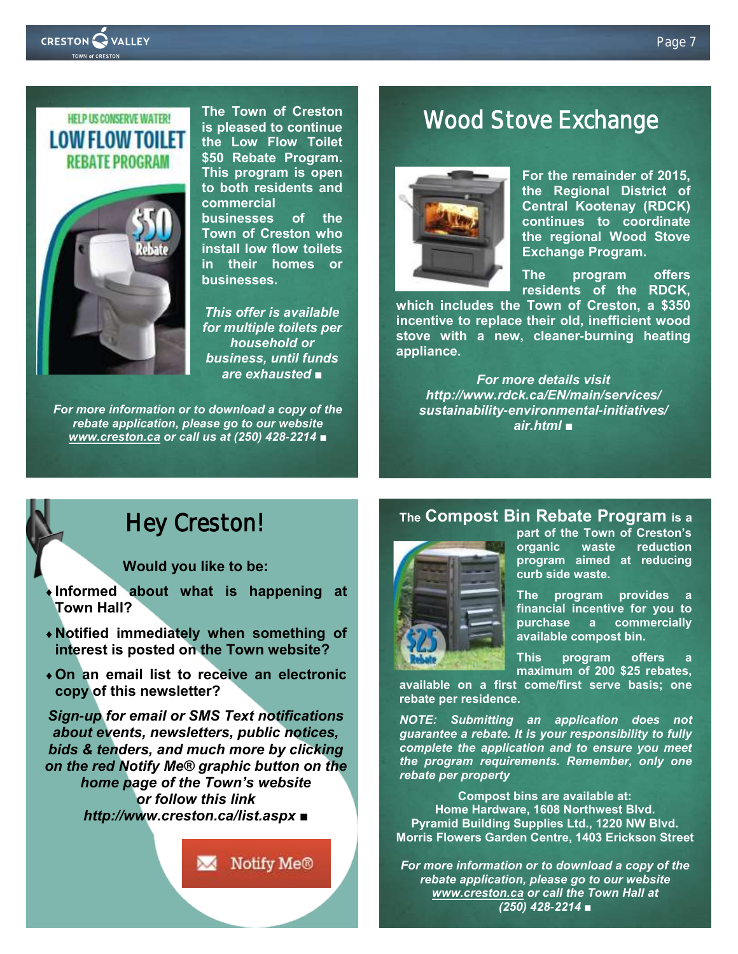

### **HELP US CONSERVE WATER! LOW FLOW TOILET REBATE PROGRAM**



**The Town of Creston is pleased to continue the Low Flow Toilet \$50 Rebate Program. This program is open to both residents and commercial businesses of the Town of Creston who install low flow toilets in their homes or businesses.**

*This offer is available for multiple toilets per household or business, until funds are exhausted ■*

*For more information or to download a copy of the rebate application, please go to our website [www.creston.ca](http://www.creston.ca) or call us at (250) 428-2214 ■* 

### **Wood Stove Exchange**



**For the remainder of 2015, the Regional District of Central Kootenay (RDCK) continues to coordinate the regional Wood Stove Exchange Program.**

**The program offers residents of the RDCK,** 

**which includes the Town of Creston, a \$350 incentive to replace their old, inefficient wood stove with a new, cleaner-burning heating appliance.**

*For more details visit http://www.rdck.ca/EN/main/services/ sustainability-environmental-initiatives/ air.html ■*

### **Hey Creston!**

**Would you like to be:**

- **Informed about what is happening at Town Hall?**
- **Notified immediately when something of interest is posted on the Town website?**
- **On an email list to receive an electronic copy of this newsletter?**

*Sign-up for email or SMS Text notifications about events, newsletters, public notices, bids & tenders, and much more by clicking on the red Notify Me® graphic button on the home page of the Town's website or follow this link http://www.creston.ca/list.aspx* **■**

Notify Me®

#### **The Compost Bin Rebate Program is a**



**part of the Town of Creston's organic waste reduction program aimed at reducing curb side waste.**

**The program provides a financial incentive for you to purchase a commercially available compost bin.**

**This** program offers **maximum of 200 \$25 rebates,** 

**available on a first come/first serve basis; one rebate per residence.**

*NOTE: Submitting an application does not guarantee a rebate. It is your responsibility to fully complete the application and to ensure you meet the program requirements. Remember, only one rebate per property* 

**Compost bins are available at: Home Hardware, 1608 Northwest Blvd. Pyramid Building Supplies Ltd., 1220 NW Blvd. Morris Flowers Garden Centre, 1403 Erickson Street**

*For more information or to download a copy of the rebate application, please go to our website [www.creston.ca](http://www.creston.ca) or call the Town Hall at (250) 428-2214 ■*